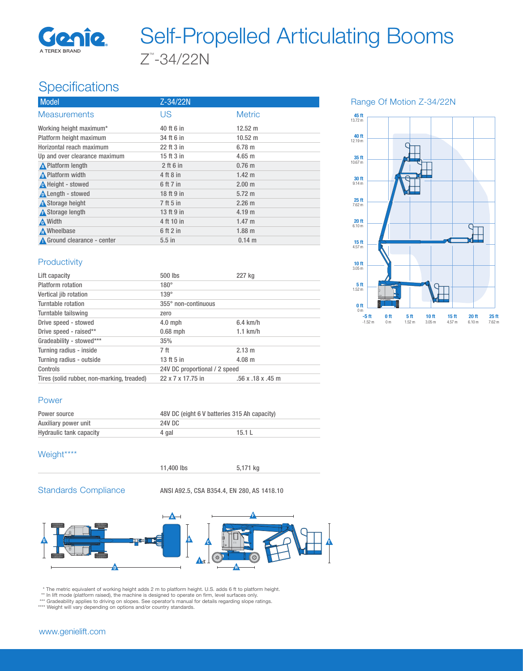

# Z™ -34/22N Self-Propelled Articulating Booms

# **Specifications**

| Model                         | Z-34/22N    |                   |
|-------------------------------|-------------|-------------------|
| <b>Measurements</b>           | US          | <b>Metric</b>     |
| Working height maximum*       | 40 ft 6 in  | $12.52 \text{ m}$ |
| Platform height maximum       | 34 ft 6 in  | $10.52 \text{ m}$ |
| Horizontal reach maximum      | 22 ft 3 in  | 6.78 m            |
| Up and over clearance maximum | 15 ft 3 in  | $4.65 \text{ m}$  |
| <b>A</b> Platform length      | $2$ ft 6 in | $0.76$ m          |
| A Platform width              | 4 ft 8 in   | $1.42 \text{ m}$  |
| <b>A</b> Height - stowed      | 6 ft 7 in   | 2.00 <sub>m</sub> |
| Length - stowed               | 18 ft 9 in  | $5.72 \text{ m}$  |
| <b>A</b> Storage height       | 7 ft 5 in   | $2.26 \text{ m}$  |
| <b>A</b> Storage length       | 13 ft 9 in  | 4.19 m            |
| A Width                       | 4 ft 10 in  | $1.47 \text{ m}$  |
| <b>A</b> Wheelbase            | 6 ft 2 in   | $1.88$ m          |
| Ground clearance - center     | $5.5$ in    | $0.14 \text{ m}$  |

#### Range Of Motion Z-34/22N



### **Productivity**

| Lift capacity                              | 500 lbs                       | 227 kg                  |
|--------------------------------------------|-------------------------------|-------------------------|
| Platform rotation                          | $180^\circ$                   |                         |
| Vertical jib rotation                      | $139^\circ$                   |                         |
| Turntable rotation                         | 355° non-continuous           |                         |
| Turntable tailswing                        | zero                          |                         |
| Drive speed - stowed                       | $4.0$ mph                     | $6.4$ km/h              |
| Drive speed - raised**                     | $0.68$ mph                    | $1.1$ km/h              |
| Gradeability - stowed***                   | 35%                           |                         |
| Turning radius - inside                    | 7 ft                          | $2.13 \text{ m}$        |
| Turning radius - outside                   | 13 ft 5 in                    | $4.08 \; m$             |
| Controls                                   | 24V DC proportional / 2 speed |                         |
| Tires (solid rubber, non-marking, treaded) | 22 x 7 x 17.75 in             | $.56$ x $.18$ x $.45$ m |

#### Power

| Power source            | 48V DC (eight 6 V batteries 315 Ah capacity) |       |
|-------------------------|----------------------------------------------|-------|
| Auxiliary power unit    | 24V DC                                       |       |
| Hydraulic tank capacity | 4 gal                                        | 15.1L |

## Weight\*\*\*\*



11,400 lbs 5,171 kg

Standards Compliance ANSI A92.5, CSA B354.4, EN 280, AS 1418.10



\* The metric equivalent of working height adds 2 m to platform height. U.S. adds 6 ft to platform height.<br>\*\* In lift mode (platform raised), the machine is designed to operate on firm, level surfaces only.<br>\*\*\* Gradeability

\*\*\*\* Weight will vary depending on options and/or country standards.